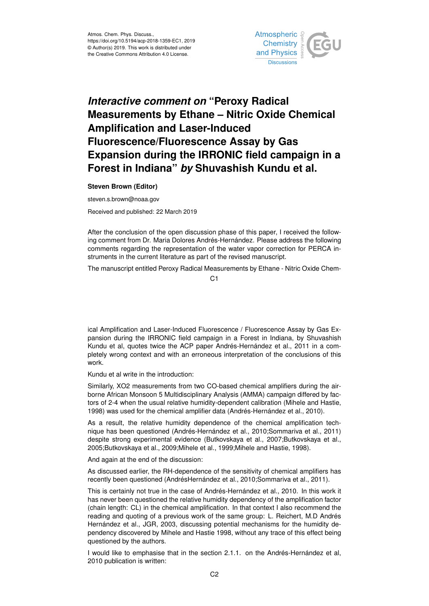

## *Interactive comment on* **"Peroxy Radical Measurements by Ethane – Nitric Oxide Chemical Amplification and Laser-Induced Fluorescence/Fluorescence Assay by Gas Expansion during the IRRONIC field campaign in a Forest in Indiana"** *by* **Shuvashish Kundu et al.**

**Steven Brown (Editor)**

steven.s.brown@noaa.gov

Received and published: 22 March 2019

After the conclusion of the open discussion phase of this paper, I received the following comment from Dr. Maria Dolores Andrés-Hernández. Please address the following comments regarding the representation of the water vapor correction for PERCA instruments in the current literature as part of the revised manuscript.

The manuscript entitled Peroxy Radical Measurements by Ethane - Nitric Oxide Chem-

C1

ical Amplification and Laser-Induced Fluorescence / Fluorescence Assay by Gas Expansion during the IRRONIC field campaign in a Forest in Indiana, by Shuvashish Kundu et al, quotes twice the ACP paper Andrés-Hernández et al., 2011 in a completely wrong context and with an erroneous interpretation of the conclusions of this work.

Kundu et al write in the introduction:

Similarly, XO2 measurements from two CO-based chemical amplifiers during the airborne African Monsoon 5 Multidisciplinary Analysis (AMMA) campaign differed by factors of 2-4 when the usual relative humidity-dependent calibration (Mihele and Hastie, 1998) was used for the chemical amplifier data (Andrés-Hernández et al., 2010).

As a result, the relative humidity dependence of the chemical amplification technique has been questioned (Andrés-Hernández et al., 2010;Sommariva et al., 2011) despite strong experimental evidence (Butkovskaya et al., 2007;Butkovskaya et al., 2005;Butkovskaya et al., 2009;Mihele et al., 1999;Mihele and Hastie, 1998).

And again at the end of the discussion:

As discussed earlier, the RH-dependence of the sensitivity of chemical amplifiers has recently been questioned (AndrésHernández et al., 2010;Sommariva et al., 2011).

This is certainly not true in the case of Andrés-Hernández et al., 2010. In this work it has never been questioned the relative humidity dependency of the amplification factor (chain length: CL) in the chemical amplification. In that context I also recommend the reading and quoting of a previous work of the same group: L. Reichert, M.D Andrés Hernández et al., JGR, 2003, discussing potential mechanisms for the humidity dependency discovered by Mihele and Hastie 1998, without any trace of this effect being questioned by the authors.

I would like to emphasise that in the section 2.1.1. on the Andrés-Hernández et al, 2010 publication is written: